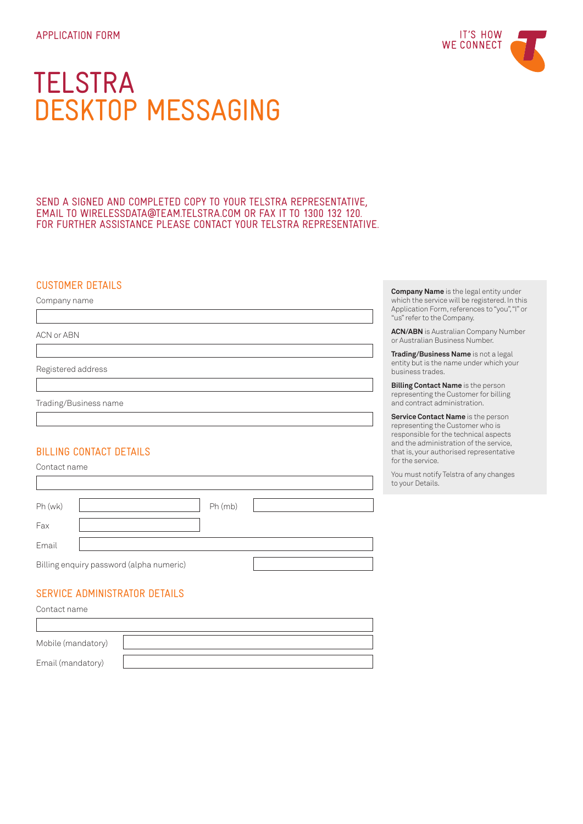# **TELSTRA** DESKTOP MESSAGING

SEND A SIGNED AND COMPLETED COPY TO YOUR TELSTRA REPRESENTATIVE, EMAIL TO WIRELESSDATA@TEAM.TELSTRA.COM OR FAX IT TO 1300 132 120. FOR FURTHER ASSISTANCE PLEASE CONTACT YOUR TELSTRA REPRESENTATIVE.

## CUSTOMER DETAILS

Company name

ACN or ABN

Registered address

Trading/Business name

## BILLING CONTACT DETAILS

Contact name

T

| Ph (wk)                                  |  | Ph (mb) |  |
|------------------------------------------|--|---------|--|
| Fax                                      |  |         |  |
| Email                                    |  |         |  |
| Billing enquiry password (alpha numeric) |  |         |  |

## SERVICE ADMINISTRATOR DETAILS

Contact name

| Mobile (mandatory) |  |
|--------------------|--|
| Email (mandatory)  |  |

**Company Name** is the legal entity under which the service will be registered. In this Application Form, references to "you", "I" or "us" refer to the Company.

**ACN/ABN** is Australian Company Number or Australian Business Number.

**Trading/Business Name** is not a legal entity but is the name under which your business trades.

**Billing Contact Name** is the person representing the Customer for billing and contract administration.

**Service Contact Name** is the person representing the Customer who is responsible for the technical aspects and the administration of the service, that is, your authorised representative for the service.

You must notify Telstra of any changes to your Details.